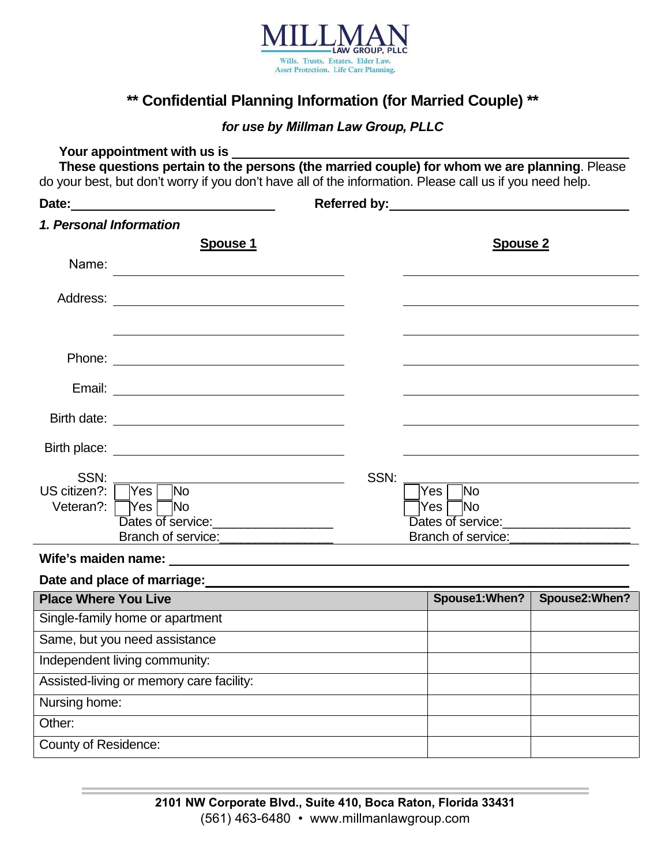

# **\*\* Confidential Planning Information (for Married Couple) \*\***

### *for use by Millman Law Group, PLLC*

### **Your appointment with us is**

**These questions pertain to the persons (the married couple) for whom we are planning**. Please do your best, but don't worry if you don't have all of the information. Please call us if you need help.

| Date:                                                                                                                            |      |                    |                |
|----------------------------------------------------------------------------------------------------------------------------------|------|--------------------|----------------|
| 1. Personal Information                                                                                                          |      |                    |                |
| <b>Spouse 1</b>                                                                                                                  |      | <b>Spouse 2</b>    |                |
| Name:                                                                                                                            |      |                    |                |
| Address:<br><u> 1980 - Jan Samuel Barbara, martin da shekara 1980 - An tsara 1980 - An tsara 1980 - An tsara 1980 - An tsara</u> |      |                    |                |
|                                                                                                                                  |      |                    |                |
|                                                                                                                                  |      |                    |                |
|                                                                                                                                  |      |                    |                |
|                                                                                                                                  |      |                    |                |
|                                                                                                                                  |      |                    |                |
| SSN:<br>$\overline{\mathsf{Yes} \sqcap \mathsf{No}}$<br>US citizen?:                                                             | SSN: | ĪNo<br><b>Yes</b>  |                |
| Veteran?: $\Box$ Yes $\Box$ No                                                                                                   |      | <b>No</b><br> Yes  |                |
| Dates of service: <u>contained</u>                                                                                               |      | Branch of service: |                |
|                                                                                                                                  |      |                    |                |
| Date and place of marriage:<br><u>Date and place of marriage:</u>                                                                |      |                    |                |
| <b>Place Where You Live</b>                                                                                                      |      | Spouse1: When?     | Spouse2: When? |
| Single-family home or apartment                                                                                                  |      |                    |                |
| Same, but you need assistance                                                                                                    |      |                    |                |
| Independent living community:                                                                                                    |      |                    |                |
| Assisted-living or memory care facility:                                                                                         |      |                    |                |
| Nursing home:                                                                                                                    |      |                    |                |
| Other:                                                                                                                           |      |                    |                |

County of Residence: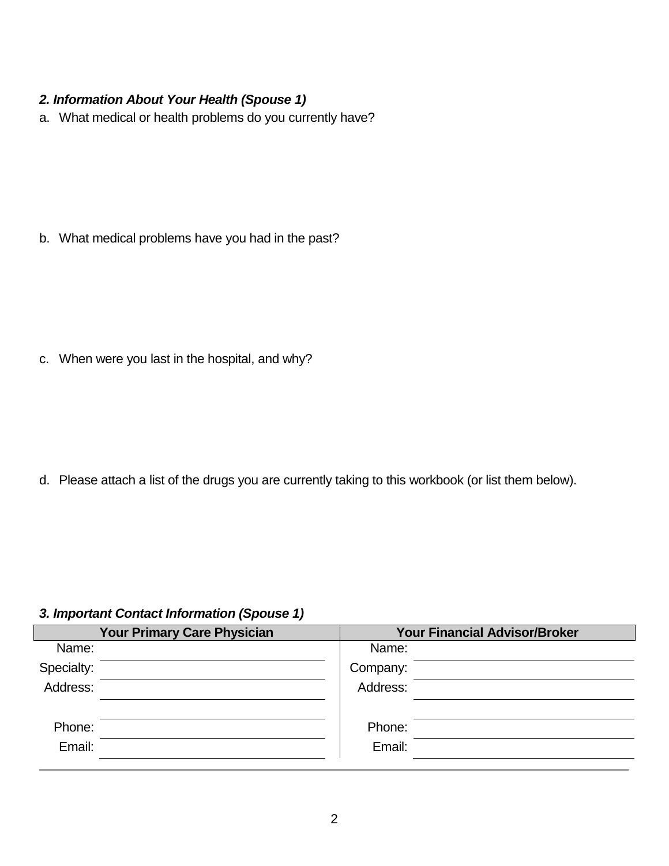# *2. Information About Your Health (Spouse 1)*

a. What medical or health problems do you currently have?

b. What medical problems have you had in the past?

c. When were you last in the hospital, and why?

d. Please attach a list of the drugs you are currently taking to this workbook (or list them below).

### *3. Important Contact Information (Spouse 1)*

|            | <b>Your Primary Care Physician</b> |          | <b>Your Financial Advisor/Broker</b> |  |
|------------|------------------------------------|----------|--------------------------------------|--|
| Name:      |                                    | Name:    |                                      |  |
| Specialty: |                                    | Company: |                                      |  |
| Address:   |                                    | Address: |                                      |  |
|            |                                    |          |                                      |  |
| Phone:     |                                    | Phone:   |                                      |  |
| Email:     |                                    | Email:   |                                      |  |
|            |                                    |          |                                      |  |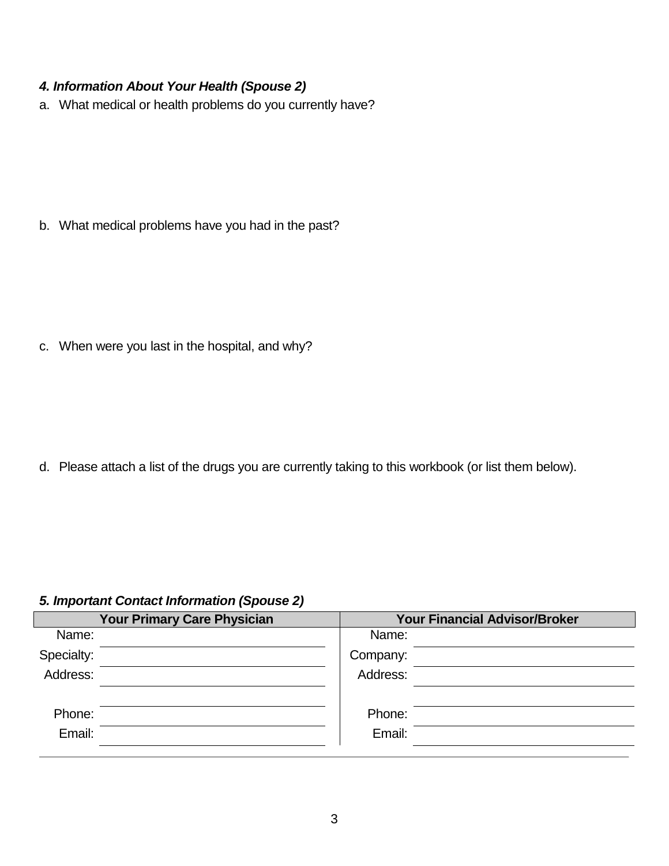# *4. Information About Your Health (Spouse 2)*

a. What medical or health problems do you currently have?

b. What medical problems have you had in the past?

c. When were you last in the hospital, and why?

d. Please attach a list of the drugs you are currently taking to this workbook (or list them below).

## *5. Important Contact Information (Spouse 2)*

| <b>Your Primary Care Physician</b> |  | <b>Your Financial Advisor/Broker</b> |  |  |
|------------------------------------|--|--------------------------------------|--|--|
| Name:                              |  | Name:                                |  |  |
| Specialty:                         |  | Company:                             |  |  |
| Address:                           |  | Address:                             |  |  |
|                                    |  |                                      |  |  |
| Phone:                             |  | Phone:                               |  |  |
| Email:                             |  | Email:                               |  |  |
|                                    |  |                                      |  |  |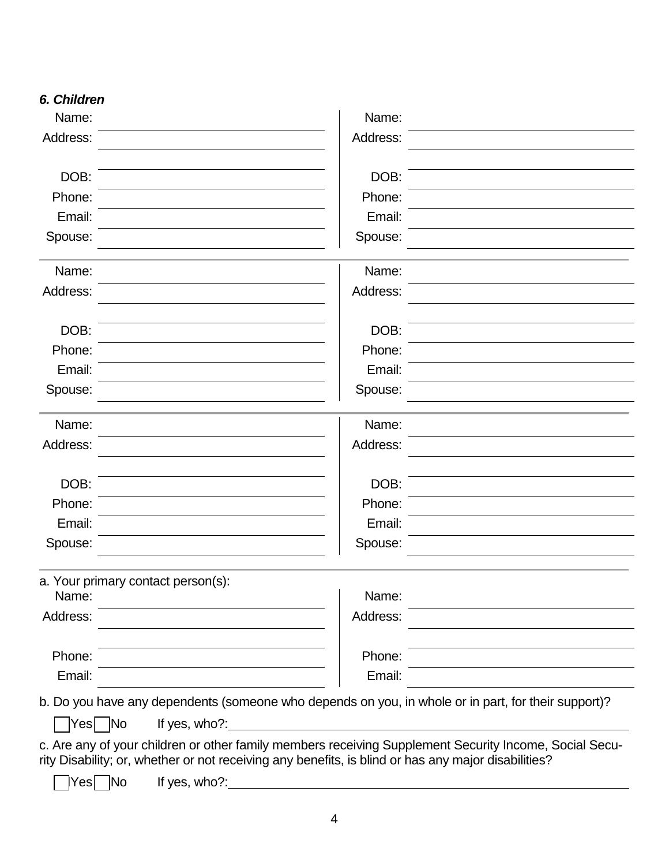| Name:                              | Name:                                                                                                                                                                                                         |  |
|------------------------------------|---------------------------------------------------------------------------------------------------------------------------------------------------------------------------------------------------------------|--|
| Address:                           | Address:                                                                                                                                                                                                      |  |
|                                    |                                                                                                                                                                                                               |  |
| DOB:                               | DOB:                                                                                                                                                                                                          |  |
| Phone:                             | Phone:                                                                                                                                                                                                        |  |
| Email:                             | Email:                                                                                                                                                                                                        |  |
| Spouse:                            | Spouse:                                                                                                                                                                                                       |  |
| Name:                              | Name:                                                                                                                                                                                                         |  |
| Address:                           | Address:                                                                                                                                                                                                      |  |
| DOB:                               | DOB:                                                                                                                                                                                                          |  |
| Phone:                             | Phone:                                                                                                                                                                                                        |  |
| Email:                             | Email:                                                                                                                                                                                                        |  |
| Spouse:                            | Spouse:                                                                                                                                                                                                       |  |
| Name:                              | Name:                                                                                                                                                                                                         |  |
| Address:                           | Address:                                                                                                                                                                                                      |  |
| DOB:                               | DOB:                                                                                                                                                                                                          |  |
| Phone:                             | Phone:                                                                                                                                                                                                        |  |
| Email:                             | Email:                                                                                                                                                                                                        |  |
| Spouse:                            | Spouse:                                                                                                                                                                                                       |  |
| a. Your primary contact person(s): |                                                                                                                                                                                                               |  |
| Name:                              | Name:                                                                                                                                                                                                         |  |
| Address:                           | Address:                                                                                                                                                                                                      |  |
| Phone:                             | Phone:                                                                                                                                                                                                        |  |
| Email:                             | Email:                                                                                                                                                                                                        |  |
|                                    | b. Do you have any dependents (someone who depends on you, in whole or in part, for their support)?                                                                                                           |  |
| If yes, who?:<br>Yes No            |                                                                                                                                                                                                               |  |
|                                    | c. Are any of your children or other family members receiving Supplement Security Income, Social Secu-<br>rity Disability; or, whether or not receiving any benefits, is blind or has any major disabilities? |  |
| No<br>If yes, who?:<br>Yes         |                                                                                                                                                                                                               |  |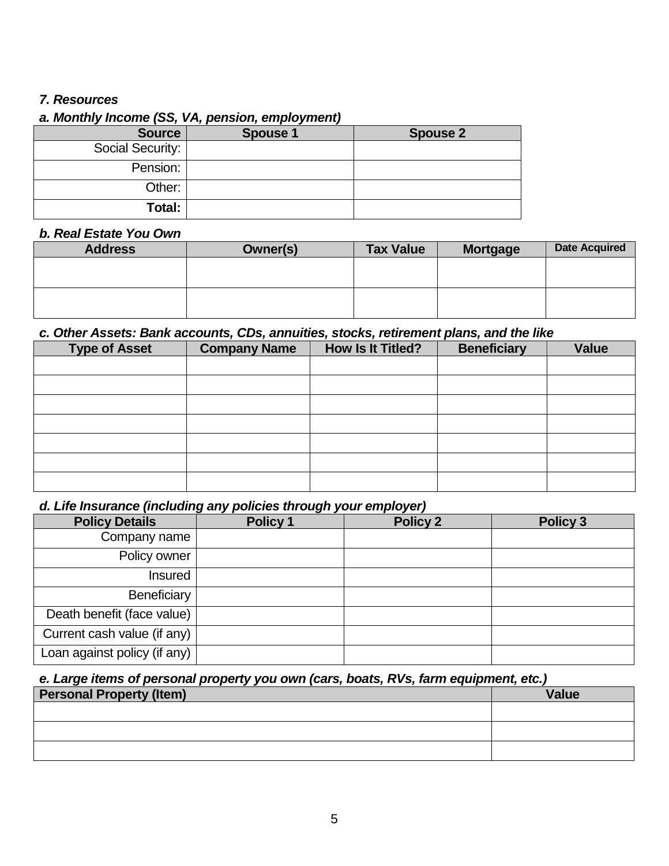## *7. Resources*

# *a. Monthly Income (SS, VA, pension, employment)*

| <b>Source</b>    | <b>Spouse 1</b> | <b>Spouse 2</b> |
|------------------|-----------------|-----------------|
| Social Security: |                 |                 |
| Pension:         |                 |                 |
| Other:           |                 |                 |
| Total:           |                 |                 |

## *b. Real Estate You Own*

| <b>Address</b> | Owner(s) | <b>Tax Value</b> | <b>Mortgage</b> | <b>Date Acquired</b> |
|----------------|----------|------------------|-----------------|----------------------|
|                |          |                  |                 |                      |
|                |          |                  |                 |                      |
|                |          |                  |                 |                      |
|                |          |                  |                 |                      |

# *c. Other Assets: Bank accounts, CDs, annuities, stocks, retirement plans, and the like*

| <b>Type of Asset</b> | <b>Company Name</b> | <b>How Is It Titled?</b> | <b>Beneficiary</b> | <b>Value</b> |
|----------------------|---------------------|--------------------------|--------------------|--------------|
|                      |                     |                          |                    |              |
|                      |                     |                          |                    |              |
|                      |                     |                          |                    |              |
|                      |                     |                          |                    |              |
|                      |                     |                          |                    |              |
|                      |                     |                          |                    |              |
|                      |                     |                          |                    |              |

## *d. Life Insurance (including any policies through your employer)*

| <b>Policy Details</b>        | Policy 1 | <b>Policy 2</b> | Policy 3 |
|------------------------------|----------|-----------------|----------|
| Company name                 |          |                 |          |
| Policy owner                 |          |                 |          |
| <b>Insured</b>               |          |                 |          |
| Beneficiary                  |          |                 |          |
| Death benefit (face value)   |          |                 |          |
| Current cash value (if any)  |          |                 |          |
| Loan against policy (if any) |          |                 |          |

## *e. Large items of personal property you own (cars, boats, RVs, farm equipment, etc.)*

| <b>Personal Property (Item)</b> | <b>Value</b> |
|---------------------------------|--------------|
|                                 |              |
|                                 |              |
|                                 |              |
|                                 |              |